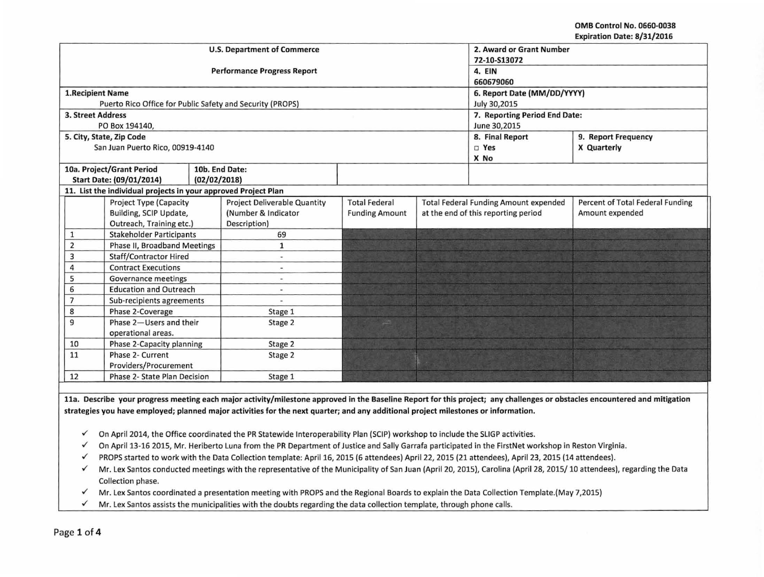OMB Control No. 0660·0038 Expiration Date: 8/31/2016

|                                                                |                                                           |              | <b>U.S. Department of Commerce</b>  | 2. Award or Grant Number      |                 |                                              |                                  |
|----------------------------------------------------------------|-----------------------------------------------------------|--------------|-------------------------------------|-------------------------------|-----------------|----------------------------------------------|----------------------------------|
|                                                                |                                                           |              |                                     | 72-10-S13072                  |                 |                                              |                                  |
|                                                                |                                                           |              | <b>Performance Progress Report</b>  | 4. EIN                        |                 |                                              |                                  |
|                                                                |                                                           |              |                                     | 660679060                     |                 |                                              |                                  |
| <b>1.Recipient Name</b>                                        |                                                           |              |                                     | 6. Report Date (MM/DD/YYYY)   |                 |                                              |                                  |
|                                                                | Puerto Rico Office for Public Safety and Security (PROPS) |              |                                     | July 30,2015                  |                 |                                              |                                  |
| <b>3. Street Address</b>                                       |                                                           |              |                                     | 7. Reporting Period End Date: |                 |                                              |                                  |
|                                                                | PO Box 194140,                                            |              |                                     | June 30,2015                  |                 |                                              |                                  |
|                                                                | 5. City, State, Zip Code                                  |              |                                     |                               | 8. Final Report | 9. Report Frequency                          |                                  |
|                                                                | San Juan Puerto Rico, 00919-4140                          |              |                                     |                               |                 | □ Yes                                        | X Quarterly                      |
|                                                                |                                                           |              |                                     |                               |                 | X No                                         |                                  |
|                                                                | 10a. Project/Grant Period                                 |              | 10b. End Date:                      |                               |                 |                                              |                                  |
|                                                                | Start Date: (09/01/2014)                                  | (02/02/2018) |                                     |                               |                 |                                              |                                  |
| 11. List the individual projects in your approved Project Plan |                                                           |              |                                     |                               |                 |                                              |                                  |
|                                                                | <b>Project Type (Capacity</b>                             |              | <b>Project Deliverable Quantity</b> | <b>Total Federal</b>          |                 | <b>Total Federal Funding Amount expended</b> | Percent of Total Federal Funding |
|                                                                | Building, SCIP Update,                                    |              | (Number & Indicator                 | <b>Funding Amount</b>         |                 | at the end of this reporting period          | Amount expended                  |
|                                                                | Outreach, Training etc.)                                  |              | Description)                        |                               |                 |                                              |                                  |
| $\mathbf{1}$                                                   | <b>Stakeholder Participants</b>                           |              | 69                                  |                               |                 |                                              |                                  |
| $\overline{2}$                                                 | Phase II, Broadband Meetings                              |              | $\mathbf{1}$                        |                               |                 |                                              |                                  |
| 3                                                              | <b>Staff/Contractor Hired</b>                             |              | ×,                                  |                               |                 |                                              |                                  |
| 4                                                              | <b>Contract Executions</b>                                |              | $\overline{\phantom{a}}$            |                               |                 |                                              |                                  |
| 5                                                              | <b>Governance meetings</b>                                |              | $\qquad \qquad \blacksquare$        |                               |                 |                                              |                                  |
| 6                                                              | <b>Education and Outreach</b>                             |              |                                     |                               |                 |                                              |                                  |
| $\overline{7}$<br>Sub-recipients agreements                    |                                                           |              |                                     |                               |                 |                                              |                                  |
| 8                                                              | Phase 2-Coverage                                          |              | Stage 1                             |                               |                 |                                              |                                  |
| 9                                                              | Phase 2-Users and their                                   |              | Stage 2                             |                               |                 |                                              |                                  |
| operational areas.                                             |                                                           |              |                                     |                               |                 |                                              |                                  |
| 10<br>Phase 2-Capacity planning                                |                                                           | Stage 2      |                                     |                               |                 |                                              |                                  |
| 11                                                             | Phase 2- Current                                          |              | Stage 2                             |                               |                 |                                              |                                  |
| Providers/Procurement                                          |                                                           |              |                                     |                               |                 |                                              |                                  |
| 12                                                             | Phase 2- State Plan Decision                              |              | Stage 1                             |                               |                 |                                              |                                  |

lla. Describe your progress meeting each major activity/milestone approved in the Baseline Report for this project; any challenges or obstacles encountered and mitigation strategies you have employed; planned major activities for the next quarter; and any additional project milestones or information .

- $\checkmark$  On April 2014, the Office coordinated the PR Statewide Interoperability Plan (SCIP) workshop to include the SLIGP activities.
- $\checkmark$  On April 13-16 2015, Mr. Heriberto Luna from the PR Department of Justice and Sally Garrafa participated in the FirstNet workshop in Reston Virginia.
- √ PROPS started to work with the Data Collection template: April 16, 2015 (6 attendees) April 22, 2015 (21 attendees), April 23, 2015 (14 attendees).
- $\checkmark$  Mr. Lex Santos conducted meetings with the representative of the Municipality of San Juan (April 20, 2015), Carolina (April 28, 2015/ 10 attendees), regarding the Data Collection phase.
- $\checkmark$  Mr. Lex Santos coordinated a presentation meeting with PROPS and the Regional Boards to explain the Data Collection Template.(May 7,2015)
- $\checkmark$  Mr. Lex Santos assists the municipalities with the doubts regarding the data collection template, through phone calls.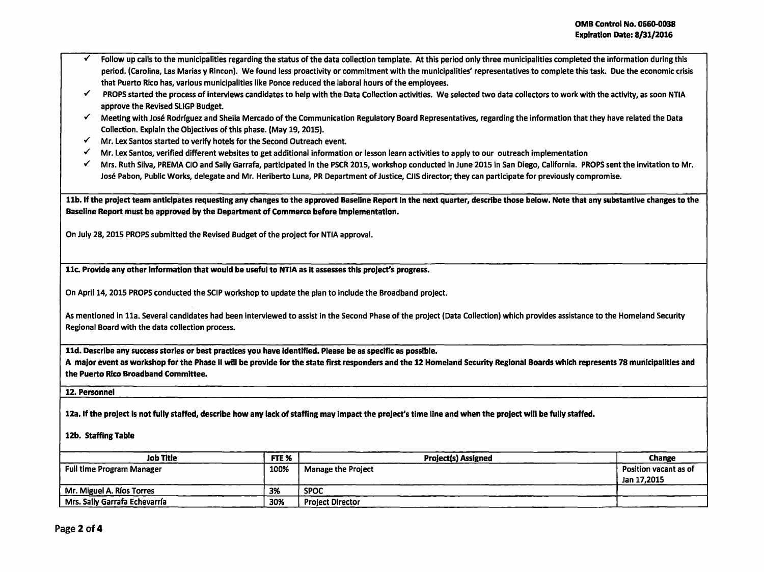- Follow up calls to the municipalities regarding the status of the data collection template. At this period only three municipalities completed the information during this period. (Carolina, Las Marias y Rincon). We found less proactivity or commitment with the municipalities' representatives to complete this task. Due the economic crisis that Puerto Rico has, various municipalities like Ponce reduced the laboral hours of the employees.
- ./ PROPS started the process of interviews candidates to help with the Data Collection activities. We selected two data collectors to work with the activity, as soon NTIA approve the Revised SUGP Budget.
- $\checkmark$  Meeting with José Rodríguez and Sheila Mercado of the Communication Regulatory Board Representatives, regarding the information that they have related the Data Collection. Explain the Objectives of this phase. (May 19, 2015) .
- $\checkmark$  Mr. Lex Santos started to verify hotels for the Second Outreach event.
- $\checkmark$  Mr. Lex Santos, verified different websites to get additional information or lesson learn activities to apply to our outreach implementation
- ./ Mrs. Ruth Silva, PREMA CIO and Sally Garrafa, participated in the PSCR 2015, workshop conducted In June 2015 in San Diego, California. PROPS sent the invitation to Mr. Jose Pabon, Public Works, delegate and Mr. Heriberto Luna, PR Department of Justice, CJIS director; they can participate for previously compromise.

11b. If the project team anticipates requesting any changes to the approved Baseline Report In the next quarter, describe those below. Note that any substantive changes to the Baseline Report must be approved by the Department of Commerce before implementation.

On July 28, 2015 PROPS submitted the Revised Budget of the project for NTIA approval.

11c. Provide any other information that would be useful to NTIA as it assesses this project's progress.

On Aprll14, 2015 PROPS conducted the SCIP workshop to update the plan to include the Broadband project.

As mentioned in 11a. Several candidates had been interviewed to assist in the Second Phase of the project (Data Collection) which provides assistance to the Homeland Security Regional Board with the data collection process.

11d. Describe any success stories or best practices you have Identified. Please be as specific as possible.

A major event as workshop for the Phase II will be provide for the state first responders and the 12 Homeland Security Regional Boards which represents 78 municipalities and the Puerto Rico Broadband Committee.

12. Personnel

12a. If the project is not fully staffed, describe how any lack of staffing may impact the project's time line and when the project will be fully staffed.

## 12b. Staffing Table

| <b>Job Title</b>                 | FTE <sub>%</sub> | <b>Project(s) Assigned</b> | <b>Change</b>         |
|----------------------------------|------------------|----------------------------|-----------------------|
| <b>Full time Program Manager</b> | 100%             | <b>Manage the Project</b>  | Position vacant as of |
|                                  |                  |                            | Jan 17.2015           |
| Mr. Miguel A. Ríos Torres        | 3%               | <b>SPOC</b>                |                       |
| Mrs. Sally Garrafa Echevarría    | 30%              | <b>Project Director</b>    |                       |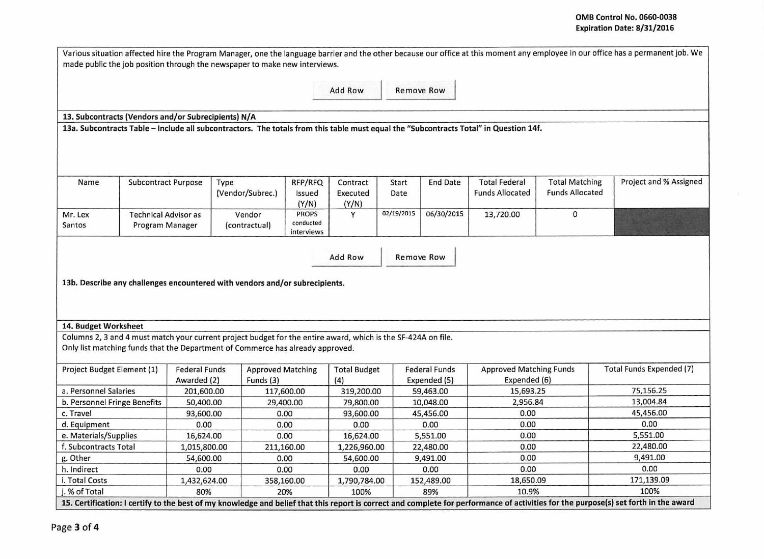|                                                     |                             |                                                  | made public the job position through the newspaper to make new interviews.                                                                                                                      |                         |                            |                   |                      |                                |                        | Various situation affected hire the Program Manager, one the language barrier and the other because our office at this moment any employee in our office has a permanent job. We     |
|-----------------------------------------------------|-----------------------------|--------------------------------------------------|-------------------------------------------------------------------------------------------------------------------------------------------------------------------------------------------------|-------------------------|----------------------------|-------------------|----------------------|--------------------------------|------------------------|--------------------------------------------------------------------------------------------------------------------------------------------------------------------------------------|
|                                                     |                             |                                                  |                                                                                                                                                                                                 |                         | Add Row                    | <b>Remove Row</b> |                      |                                |                        |                                                                                                                                                                                      |
| 13. Subcontracts (Vendors and/or Subrecipients) N/A |                             |                                                  |                                                                                                                                                                                                 |                         |                            |                   |                      |                                |                        |                                                                                                                                                                                      |
|                                                     |                             |                                                  | 13a. Subcontracts Table - Include all subcontractors. The totals from this table must equal the "Subcontracts Total" in Question 14f.                                                           |                         |                            |                   |                      |                                |                        |                                                                                                                                                                                      |
|                                                     |                             |                                                  |                                                                                                                                                                                                 |                         |                            |                   |                      |                                |                        |                                                                                                                                                                                      |
| Name                                                | <b>Subcontract Purpose</b>  |                                                  | Type                                                                                                                                                                                            | RFP/RFQ                 | Contract                   | Start             | <b>End Date</b>      | <b>Total Federal</b>           | <b>Total Matching</b>  | Project and % Assigned                                                                                                                                                               |
|                                                     |                             |                                                  | (Vendor/Subrec.)                                                                                                                                                                                | Issued                  | Executed                   | Date              |                      | <b>Funds Allocated</b>         | <b>Funds Allocated</b> |                                                                                                                                                                                      |
|                                                     |                             |                                                  |                                                                                                                                                                                                 | (Y/N)                   | (Y/N)                      |                   |                      |                                |                        |                                                                                                                                                                                      |
| Mr. Lex                                             | <b>Technical Advisor as</b> |                                                  | Vendor                                                                                                                                                                                          | <b>PROPS</b>            | Y                          | 02/19/2015        | 06/30/2015           | 13,720.00                      | 0                      |                                                                                                                                                                                      |
| Santos                                              | Program Manager             |                                                  | (contractual)                                                                                                                                                                                   | conducted<br>interviews |                            |                   |                      |                                |                        |                                                                                                                                                                                      |
|                                                     |                             |                                                  | 13b. Describe any challenges encountered with vendors and/or subrecipients.                                                                                                                     |                         |                            |                   |                      |                                |                        |                                                                                                                                                                                      |
| 14. Budget Worksheet                                |                             |                                                  |                                                                                                                                                                                                 |                         |                            |                   |                      |                                |                        |                                                                                                                                                                                      |
|                                                     |                             |                                                  | Columns 2, 3 and 4 must match your current project budget for the entire award, which is the SF-424A on file.<br>Only list matching funds that the Department of Commerce has already approved. |                         |                            |                   |                      |                                |                        |                                                                                                                                                                                      |
| Project Budget Element (1)                          |                             | <b>Federal Funds</b><br><b>Approved Matching</b> |                                                                                                                                                                                                 |                         |                            |                   | <b>Federal Funds</b> | <b>Approved Matching Funds</b> |                        | Total Funds Expended (7)                                                                                                                                                             |
|                                                     |                             | Awarded (2)                                      | Funds (3)                                                                                                                                                                                       |                         | <b>Total Budget</b><br>(4) |                   | Expended (5)         |                                |                        |                                                                                                                                                                                      |
| a. Personnel Salaries                               |                             | 201,600.00                                       |                                                                                                                                                                                                 | 117,600.00              | 319,200.00                 |                   | 59,463.00            | Expended (6)<br>15,693.25      |                        | 75,156.25                                                                                                                                                                            |
| b. Personnel Fringe Benefits                        |                             | 50,400.00                                        |                                                                                                                                                                                                 | 29,400.00               | 79,800.00                  |                   | 10,048.00            | 2,956.84                       |                        | 13,004.84                                                                                                                                                                            |
| c. Travel                                           |                             | 93,600.00                                        |                                                                                                                                                                                                 | 0.00                    | 93,600.00                  |                   | 45,456.00            | 0.00                           |                        | 45,456.00                                                                                                                                                                            |
| d. Equipment                                        |                             | 0.00                                             |                                                                                                                                                                                                 | 0.00                    | 0.00                       |                   | 0.00                 | 0.00                           |                        | 0.00                                                                                                                                                                                 |
| e. Materials/Supplies                               |                             | 16,624.00                                        |                                                                                                                                                                                                 | 0.00                    | 16,624.00                  |                   | 5,551.00             | 0.00                           |                        | 5,551.00                                                                                                                                                                             |
| f. Subcontracts Total                               |                             | 1,015,800.00                                     |                                                                                                                                                                                                 | 211,160.00              | 1,226,960.00               |                   | 22,480.00            | 0.00                           |                        | 22,480.00                                                                                                                                                                            |
| g. Other                                            |                             | 54,600.00                                        |                                                                                                                                                                                                 | 0.00                    | 54,600.00                  |                   | 9,491.00             | 0.00                           |                        | 9,491.00                                                                                                                                                                             |
| h. Indirect                                         |                             | 0.00                                             |                                                                                                                                                                                                 | 0.00                    | 0.00                       |                   | 0.00                 | 0.00                           |                        | 0.00                                                                                                                                                                                 |
| i. Total Costs                                      |                             | 1,432,624.00                                     |                                                                                                                                                                                                 | 358,160.00              | 1,790,784.00               |                   | 152,489.00           | 18,650.09                      |                        | 171,139.09                                                                                                                                                                           |
| j. % of Total                                       |                             | 80%                                              |                                                                                                                                                                                                 | 20%                     | 100%                       |                   | 89%                  | 10.9%                          |                        | 100%                                                                                                                                                                                 |
|                                                     |                             |                                                  |                                                                                                                                                                                                 |                         |                            |                   |                      |                                |                        | 15. Certification: I certify to the best of my knowledge and belief that this report is correct and complete for performance of activities for the purpose(s) set forth in the award |